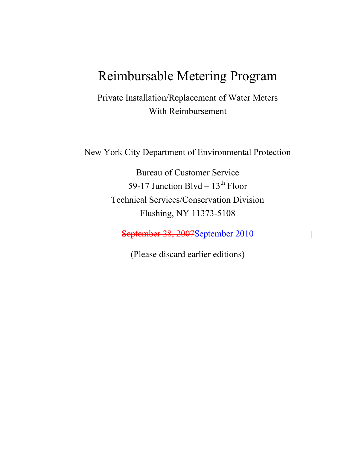# Reimbursable Metering Program

Private Installation/Replacement of Water Meters With Reimbursement

New York City Department of Environmental Protection

Bureau of Customer Service 59-17 Junction Blvd  $-13^{th}$  Floor Technical Services/Conservation Division Flushing, NY 11373-5108

September 28, 2007September 2010

(Please discard earlier editions)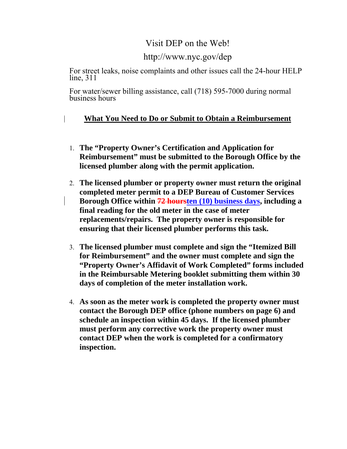### Visit DEP on the Web!

### http://www.nyc.gov/dep

For street leaks, noise complaints and other issues call the 24-hour HELP line, 311

For water/sewer billing assistance, call (718) 595-7000 during normal business hours

### **What You Need to Do or Submit to Obtain a Reimbursement**

- 1. **The "Property Owner's Certification and Application for Reimbursement" must be submitted to the Borough Office by the licensed plumber along with the permit application.**
- 2. **The licensed plumber or property owner must return the original completed meter permit to a DEP Bureau of Customer Services Borough Office within 72 hoursten (10) business days, including a final reading for the old meter in the case of meter replacements/repairs. The property owner is responsible for ensuring that their licensed plumber performs this task.**
- 3. **The licensed plumber must complete and sign the "Itemized Bill for Reimbursement" and the owner must complete and sign the "Property Owner's Affidavit of Work Completed" forms included in the Reimbursable Metering booklet submitting them within 30 days of completion of the meter installation work.**
- 4. **As soon as the meter work is completed the property owner must contact the Borough DEP office (phone numbers on page 6) and schedule an inspection within 45 days. If the licensed plumber must perform any corrective work the property owner must contact DEP when the work is completed for a confirmatory inspection.**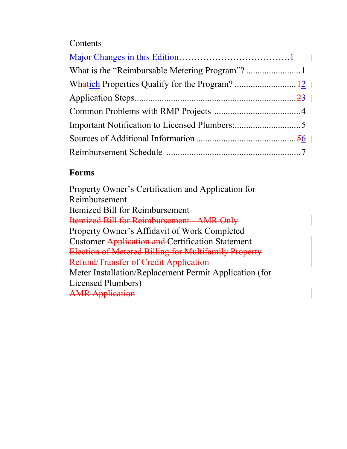# **Contents**

### $\overline{a}$ **Forms**

Property Owner's Certification and Application for Reimbursement Itemized Bill for Reimbursement Itemized Bill for Reimbursement - AMR Only Property Owner's Affidavit of Work Completed Customer Application and Certification Statement Election of Metered Billing for Multifamily Property Refund/Transfer of Credit Application Meter Installation/Replacement Permit Application (for Licensed Plumbers) AMR Application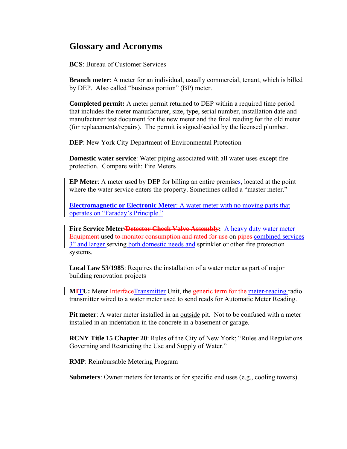# **Glossary and Acronyms**

**BCS**: Bureau of Customer Services

**Branch meter**: A meter for an individual, usually commercial, tenant, which is billed by DEP. Also called "business portion" (BP) meter.

**Completed permit:** A meter permit returned to DEP within a required time period that includes the meter manufacturer, size, type, serial number, installation date and manufacturer test document for the new meter and the final reading for the old meter (for replacements/repairs). The permit is signed/sealed by the licensed plumber.

**DEP**: New York City Department of Environmental Protection

**Domestic water service**: Water piping associated with all water uses except fire protection. Compare with: Fire Meters

**EP Meter**: A meter used by DEP for billing an entire premises, located at the point where the water service enters the property. Sometimes called a "master meter."

**Electromagnetic or Electronic Meter**: A water meter with no moving parts that operates on "Faraday's Principle."

**Fire Service Meter<del>/Detector Check Valve Assembly</del>: A heavy duty water meter** Equipment used to monitor consumption and rated for use on pipes combined services 3" and larger serving both domestic needs and sprinkler or other fire protection systems.

**Local Law 53/1985**: Requires the installation of a water meter as part of major building renovation projects

**MITU:** Meter InterfaceTransmitter Unit, the generic term for the meter-reading radio transmitter wired to a water meter used to send reads for Automatic Meter Reading.

**Pit meter**: A water meter installed in an outside pit. Not to be confused with a meter installed in an indentation in the concrete in a basement or garage.

**RCNY Title 15 Chapter 20**: Rules of the City of New York; "Rules and Regulations Governing and Restricting the Use and Supply of Water."

**RMP**: Reimbursable Metering Program

**Submeters**: Owner meters for tenants or for specific end uses (e.g., cooling towers).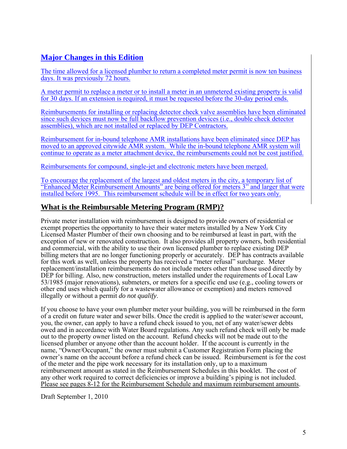### **Major Changes in this Edition**

The time allowed for a licensed plumber to return a completed meter permit is now ten business days. It was previously 72 hours.

A meter permit to replace a meter or to install a meter in an unmetered existing property is valid for 30 days. If an extension is required, it must be requested before the 30-day period ends.

Reimbursements for installing or replacing detector check valve assemblies have been eliminated since such devices must now be full backflow prevention devices (i.e., double check detector assemblies), which are not installed or replaced by DEP Contractors.

Reimbursement for in-bound telephone AMR installations have been eliminated since DEP has moved to an approved citywide AMR system. While the in-bound telephone AMR system will continue to operate as a meter attachment device, the reimbursements could not be cost justified.

Reimbursements for compound, single-jet and electronic meters have been merged.

To encourage the replacement of the largest and oldest meters in the city, a temporary list of "Enhanced Meter Reimbursement Amounts" are being offered for meters 3" and larger that were installed before 1995. This reimbursement schedule will be in effect for two years only.

### **What is the Reimbursable Metering Program (RMP)?**

Private meter installation with reimbursement is designed to provide owners of residential or exempt properties the opportunity to have their water meters installed by a New York City Licensed Master Plumber of their own choosing and to be reimbursed at least in part, with the exception of new or renovated construction. It also provides all property owners, both residential and commercial, with the ability to use their own licensed plumber to replace existing DEP billing meters that are no longer functioning properly or accurately. DEP has contracts available for this work as well, unless the property has received a "meter refusal" surcharge. Meter replacement/installation reimbursements do not include meters other than those used directly by DEP for billing. Also, new construction, meters installed under the requirements of Local Law 53/1985 (major renovations), submeters, or meters for a specific end use (e.g., cooling towers or other end uses which qualify for a wastewater allowance or exemption) and meters removed illegally or without a permit *do not qualify*.

If you choose to have your own plumber meter your building, you will be reimbursed in the form of a credit on future water and sewer bills. Once the credit is applied to the water/sewer account, you, the owner, can apply to have a refund check issued to you, net of any water/sewer debts owed and in accordance with Water Board regulations. Any such refund check will only be made out to the property owner listed on the account. Refund checks will not be made out to the licensed plumber or anyone other than the account holder. If the account is currently in the name, "Owner/Occupant," the owner must submit a Customer Registration Form placing the owner's name on the account before a refund check can be issued. Reimbursement is for the cost of the meter and the pipe work necessary for its installation only, up to a maximum reimbursement amount as stated in the Reimbursement Schedules in this booklet. The cost of any other work required to correct deficiencies or improve a building's piping is not included. Please see pages 8-12 for the Reimbursement Schedule and maximum reimbursement amounts.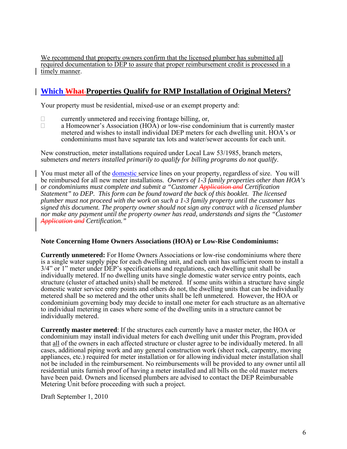We recommend that property owners confirm that the licensed plumber has submitted all required documentation to DEP to assure that proper reimbursement credit is processed in a timely manner.

### **Which What Properties Qualify for RMP Installation of Original Meters?**

Your property must be residential, mixed-use or an exempt property and:

- $\Box$  currently unmetered and receiving frontage billing, or,<br>a Homeowner's Association (HOA) or low-rise condom
- a Homeowner's Association (HOA) or low-rise condominium that is currently master metered and wishes to install individual DEP meters for each dwelling unit. HOA's or condominiums must have separate tax lots and water/sewer accounts for each unit.

New construction, meter installations required under Local Law 53/1985, branch meters, submeters *and meters installed primarily to qualify for billing programs do not qualify*.

You must meter all of the domestic service lines on your property, regardless of size. You will be reimbursed for all new meter installations. *Owners of 1-3 family properties other than HOA's or condominiums must complete and submit a "Customer Application and Certification Statement" to DEP. This form can be found toward the back of this booklet. The licensed plumber must not proceed with the work on such a 1-3 family property until the customer has signed this document. The property owner should not sign any contract with a licensed plumber nor make any payment until the property owner has read, understands and signs the "Customer Application and Certification."* 

#### **Note Concerning Home Owners Associations (HOA) or Low-Rise Condominiums:**

**Currently unmetered:** For Home Owners Associations or low-rise condominiums where there is a single water supply pipe for each dwelling unit, and each unit has sufficient room to install a 3/4" or 1" meter under DEP's specifications and regulations, each dwelling unit shall be individually metered. If no dwelling units have single domestic water service entry points, each structure (cluster of attached units) shall be metered. If some units within a structure have single domestic water service entry points and others do not, the dwelling units that can be individually metered shall be so metered and the other units shall be left unmetered. However, the HOA or condominium governing body may decide to install one meter for each structure as an alternative to individual metering in cases where some of the dwelling units in a structure cannot be individually metered.

**Currently master metered**: If the structures each currently have a master meter, the HOA or condominium may install individual meters for each dwelling unit under this Program, provided that all of the owners in each affected structure or cluster agree to be individually metered. In all cases, additional piping work and any general construction work (sheet rock, carpentry, moving appliances, etc.) required for meter installation or for allowing individual meter installation shall not be included in the reimbursement. No reimbursements will be provided to any owner until all residential units furnish proof of having a meter installed and all bills on the old master meters have been paid. Owners and licensed plumbers are advised to contact the DEP Reimbursable Metering Unit before proceeding with such a project.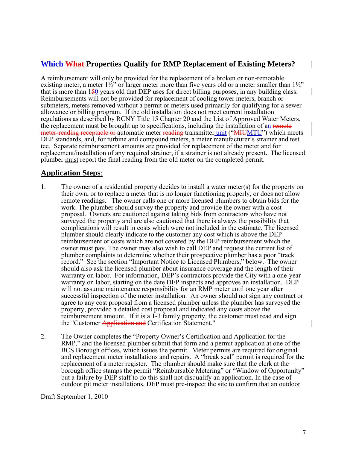### **Which What Properties Qualify for RMP Replacement of Existing Meters?**

A reimbursement will only be provided for the replacement of a broken or non-remotable existing meter, a meter  $1\frac{1}{2}$ " or larger meter more than five years old or a meter smaller than  $1\frac{1}{2}$ " that is more than 150 years old that DEP uses for direct billing purposes, in any building class. Reimbursements will not be provided for replacement of cooling tower meters, branch or submeters, meters removed without a permit or meters used primarily for qualifying for a sewer allowance or billing program. If the old installation does not meet current installation regulations as described by RCNY Title 15 Chapter 20 and the List of Approved Water Meters, the replacement must be brought up to specifications, including the installation of an remote meter-reading receptacle or automatic meter reading transmitter unit ("MIUMTU") which meets DEP standards, and, for turbine and compound meters, a meter manufacturer's strainer and test tee. Separate reimbursement amounts are provided for replacement of the meter and for replacement/installation of any required strainer, if a strainer is not already present**.** The licensed plumber must report the final reading from the old meter on the completed permit.

### **Application Steps**:

- 1. The owner of a residential property decides to install a water meter(s) for the property on their own, or to replace a meter that is no longer functioning properly, or does not allow remote readings. The owner calls one or more licensed plumbers to obtain bids for the work. The plumber should survey the property and provide the owner with a cost proposal. Owners are cautioned against taking bids from contractors who have not surveyed the property and are also cautioned that there is always the possibility that complications will result in costs which were not included in the estimate. The licensed plumber should clearly indicate to the customer any cost which is above the DEP reimbursement or costs which are not covered by the DEP reimbursement which the owner must pay. The owner may also wish to call DEP and request the current list of plumber complaints to determine whether their prospective plumber has a poor "track record." See the section "Important Notice to Licensed Plumbers," below. The owner should also ask the licensed plumber about insurance coverage and the length of their warranty on labor. For information, DEP's contractors provide the City with a one-year warranty on labor, starting on the date DEP inspects and approves an installation. DEP will not assume maintenance responsibility for an RMP meter until one year after successful inspection of the meter installation. An owner should not sign any contract or agree to any cost proposal from a licensed plumber unless the plumber has surveyed the property, provided a detailed cost proposal and indicated any costs above the reimbursement amount. If it is a 1-3 family property, the customer must read and sign the "Customer Application and Certification Statement."
- 2. The Owner completes the "Property Owner's Certification and Application for the RMP," and the licensed plumber submit that form and a permit application at one of the BCS Borough offices, which issues the permit. Meter permits are required for original and replacement meter installations and repairs. A "break seal" permit is required for the replacement of a meter register. The plumber should make sure that the clerk at the borough office stamps the permit "Reimbursable Metering" or "Window of Opportunity" but a failure by DEP staff to do this shall not disqualify an application. In the case of outdoor pit meter installations, DEP must pre-inspect the site to confirm that an outdoor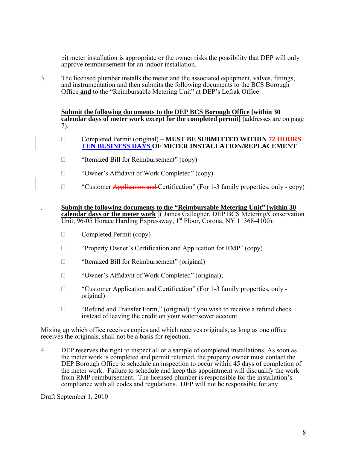pit meter installation is appropriate or the owner risks the possibility that DEP will only approve reimbursement for an indoor installation.

3. The licensed plumber installs the meter and the associated equipment, valves, fittings, and instrumentation and then submits the following documents to the BCS Borough Office **and** to the "Reimbursable Metering Unit" at DEP's Lefrak Office:

**Submit the following documents to the DEP BCS Borough Office [within 30 calendar days of meter work except for the completed permit]** (addresses are on page 7):

- □ Completed Permit (original) **MUST BE SUBMITTED WITHIN <del>72 HOURS</del> TEN BUSINESS DAYS OF METER INSTALLATION/REPLACEMENT**
- □ "Itemized Bill for Reimbursement" (copy)
- □ "Owner's Affidavit of Work Completed" (copy)
- $\Box$  "Customer Application and Certification" (For 1-3 family properties, only copy)

. **Submit the following documents to the "Reimbursable Metering Unit" [within 30 calendar days or the meter work** ]( James Gallagher, DEP BCS Metering/Conservation Unit, 96-05 Horace Harding Expressway, 1<sup>st</sup> Floor, Corona, NY 11368-4100):

- $\Box$  Completed Permit (copy)
- "Property Owner's Certification and Application for RMP" (copy)
- □ "Itemized Bill for Reimbursement" (original)
- □ "Owner's Affidavit of Work Completed" (original);
- □ "Customer Application and Certification" (For 1-3 family properties, only original)
- $\Box$  "Refund and Transfer Form." (original) if you wish to receive a refund check instead of leaving the credit on your water/sewer account.

Mixing up which office receives copies and which receives originals, as long as one office receives the originals, shall not be a basis for rejection.

4. DEP reserves the right to inspect all or a sample of completed installations. As soon as the meter work is completed and permit returned, the property owner must contact the DEP Borough Office to schedule an inspection to occur within 45 days of completion of the meter work. Failure to schedule and keep this appointment will disqualify the work from RMP reimbursement. The licensed plumber is responsible for the installation's compliance with all codes and regulations. DEP will not be responsible for any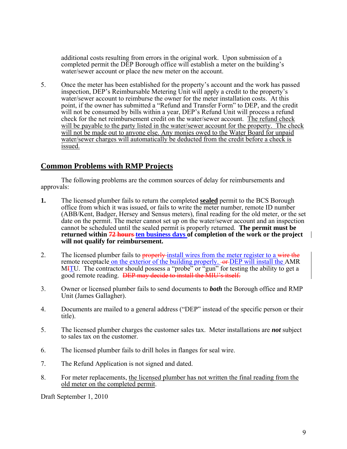additional costs resulting from errors in the original work. Upon submission of a completed permit the DEP Borough office will establish a meter on the building's water/sewer account or place the new meter on the account.

5. Once the meter has been established for the property's account and the work has passed inspection, DEP's Reimbursable Metering Unit will apply a credit to the property's water/sewer account to reimburse the owner for the meter installation costs. At this point, if the owner has submitted a "Refund and Transfer Form" to DEP, and the credit will not be consumed by bills within a year, DEP's Refund Unit will process a refund check for the net reimbursement credit on the water/sewer account. The refund check will be payable to the party listed in the water/sewer account for the property. The check will not be made out to anyone else. Any monies owed to the Water Board for unpaid water/sewer charges will automatically be deducted from the credit before a check is issued.

### **Common Problems with RMP Projects**

 The following problems are the common sources of delay for reimbursements and approvals:

- **1.** The licensed plumber fails to return the completed **sealed** permit to the BCS Borough office from which it was issued, or fails to write the meter number, remote ID number (ABB/Kent, Badger, Hersey and Sensus meters), final reading for the old meter, or the set date on the permit. The meter cannot set up on the water/sewer account and an inspection cannot be scheduled until the sealed permit is properly returned. **The permit must be returned within 72 hours ten business days of completion of the work or the project will not qualify for reimbursement.**
- 2. The licensed plumber fails to properly install wires from the meter register to a wire the remote receptacle on the exterior of the building properly.  $\rightarrow$  DEP will install the AMR MHIU. The contractor should possess a "probe" or "gun" for testing the ability to get a good remote reading. DEP may decide to install the MIU's itself.
- 3. Owner or licensed plumber fails to send documents to *both* the Borough office and RMP Unit (James Gallagher).
- 4. Documents are mailed to a general address ("DEP" instead of the specific person or their title).
- 5. The licensed plumber charges the customer sales tax. Meter installations are *not* subject to sales tax on the customer.
- 6. The licensed plumber fails to drill holes in flanges for seal wire.
- 7. The Refund Application is not signed and dated.
- 8. For meter replacements, the licensed plumber has not written the final reading from the old meter on the completed permit.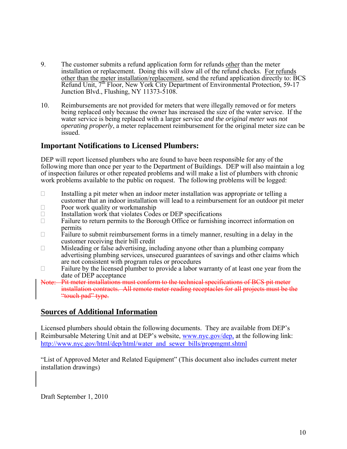- 9. The customer submits a refund application form for refunds other than the meter installation or replacement. Doing this will slow all of the refund checks. For refunds other than the meter installation/replacement, send the refund application directly to: BCS Refund Unit, 7<sup>th</sup> Floor, New York City Department of Environmental Protection, 59-17 Junction Blvd., Flushing, NY 11373-5108.
- 10. Reimbursements are not provided for meters that were illegally removed or for meters being replaced only because the owner has increased the size of the water service. If the water service is being replaced with a larger service *and the original meter was not operating properly*, a meter replacement reimbursement for the original meter size can be issued.

### **Important Notifications to Licensed Plumbers:**

DEP will report licensed plumbers who are found to have been responsible for any of the following more than once per year to the Department of Buildings. DEP will also maintain a log of inspection failures or other repeated problems and will make a list of plumbers with chronic work problems available to the public on request. The following problems will be logged:

- $\Box$  Installing a pit meter when an indoor meter installation was appropriate or telling a customer that an indoor installation will lead to a reimbursement for an outdoor pit meter
- $\Box$  Poor work quality or workmanship
- $\Box$  Installation work that violates Codes or DEP specifications
- $\Box$  Failure to return permits to the Borough Office or furnishing incorrect information on permits
- $\Box$  Failure to submit reimbursement forms in a timely manner, resulting in a delay in the customer receiving their bill credit
- $\Box$  Misleading or false advertising, including anyone other than a plumbing company advertising plumbing services, unsecured guarantees of savings and other claims which are not consistent with program rules or procedures
- $\Box$  Failure by the licensed plumber to provide a labor warranty of at least one year from the date of DEP acceptance
- Note: Pit meter installations must conform to the technical specifications of BCS pit meter installation contracts. All remote meter reading receptacles for all projects must be the "touch pad" type.

### **Sources of Additional Information**

Licensed plumbers should obtain the following documents. They are available from DEP's Reimbursable Metering Unit and at DEP's website, [www.nyc.gov/dep,](http://www.nyc.gov/dep) at the following link: [http://www.nyc.gov/html/dep/html/water\\_and\\_sewer\\_bills/propmgmt.shtml](http://www.nyc.gov/html/dep/html/water_and_sewer_bills/propmgmt.shtml)

"List of Approved Meter and Related Equipment" (This document also includes current meter installation drawings)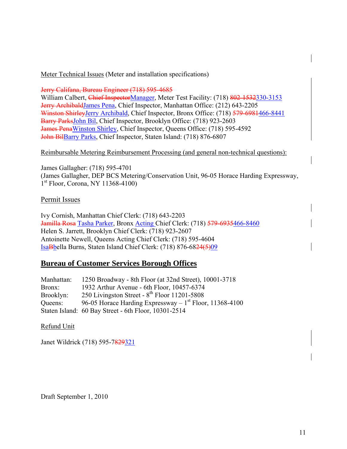Meter Technical Issues (Meter and installation specifications)

Jerry Califana, Bureau Engineer (718) 595-4685

William Calbert, Chief InspectorManager, Meter Test Facility: (718) 802-1532330-3153 Jerry ArchibaldJames Pena, Chief Inspector, Manhattan Office: (212) 643-2205 Winston ShirleyJerry Archibald, Chief Inspector, Bronx Office: (718) 579-6981466-8441 Barry ParksJohn Bil, Chief Inspector, Brooklyn Office: (718) 923-2603 James PenaWinston Shirley, Chief Inspector, Queens Office: (718) 595-4592 John BilBarry Parks, Chief Inspector, Staten Island: (718) 876-6807

#### Reimbursable Metering Reimbursement Processing (and general non-technical questions):

James Gallagher: (718) 595-4701 (James Gallagher, DEP BCS Metering/Conservation Unit, 96-05 Horace Harding Expressway,  $1<sup>st</sup>$  Floor, Corona, NY 11368-4100)

#### Permit Issues

Ivy Cornish, Manhattan Chief Clerk: (718) 643-2203 Jamilla Rosa Tasha Parker, Bronx Acting Chief Clerk: (718) 579-6935466-8460 Helen S. Jarrett, Brooklyn Chief Clerk: (718) 923-2607 Antoinette Newell, Queens Acting Chief Clerk: (718) 595-4604 IsaBbella Burns, Staten Island Chief Clerk: (718) 876-6824(5)09

### **Bureau of Customer Services Borough Offices**

| Manhattan: | 1250 Broadway - 8th Floor (at 32nd Street), 10001-3718      |
|------------|-------------------------------------------------------------|
| Bronx:     | 1932 Arthur Avenue - 6th Floor, 10457-6374                  |
| Brooklyn:  | 250 Livingston Street - $8^{th}$ Floor 11201-5808           |
| Queens:    | 96-05 Horace Harding Expressway $-1^{st}$ Floor, 11368-4100 |
|            | Staten Island: 60 Bay Street - 6th Floor, 10301-2514        |

Refund Unit

Janet Wildrick (718) 595-7829321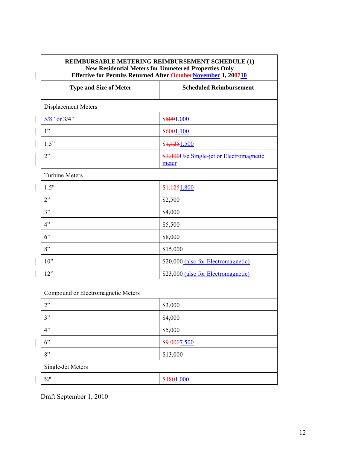| REIMBURSABLE METERING REIMBURSEMENT SCHEDULE (1)<br><b>New Residential Meters for Unmetered Properties Only</b><br>Effective for Permits Returned After OctoberNovember 1, 200710 |                                                   |
|-----------------------------------------------------------------------------------------------------------------------------------------------------------------------------------|---------------------------------------------------|
| <b>Type and Size of Meter</b>                                                                                                                                                     | <b>Scheduled Reimbursement</b>                    |
| <b>Displacement Meters</b>                                                                                                                                                        |                                                   |
| $5/8$ " or $3/4$ "                                                                                                                                                                | \$5001,000                                        |
| 1"                                                                                                                                                                                | \$6001,100                                        |
| 1.5"                                                                                                                                                                              | \$1,1251,500                                      |
| 2"                                                                                                                                                                                | \$1,400Use Single-jet or Electromagnetic<br>meter |
| <b>Turbine Meters</b>                                                                                                                                                             |                                                   |
| 1.5"                                                                                                                                                                              | \$4,1251,800                                      |
| 2"                                                                                                                                                                                | \$2,500                                           |
| 3"                                                                                                                                                                                | \$4,000                                           |
| 4"                                                                                                                                                                                | \$5,500                                           |
| $6$ "                                                                                                                                                                             | \$8,000                                           |
| 8"                                                                                                                                                                                | \$15,000                                          |
| 10"                                                                                                                                                                               | \$20,000 (also for Electromagnetic)               |
| 12"                                                                                                                                                                               | \$23,000 (also for Electromagnetic)               |
| Compound or Electromagnetic Meters                                                                                                                                                |                                                   |
| 2"                                                                                                                                                                                | \$3,000                                           |
| 3"                                                                                                                                                                                | \$4,000                                           |
| 4"                                                                                                                                                                                | \$5,000                                           |
| 6"                                                                                                                                                                                | \$9,0007,500                                      |
| 8"                                                                                                                                                                                | \$13,000                                          |
| Single-Jet Meters                                                                                                                                                                 |                                                   |
| $\frac{3}{4}$ "                                                                                                                                                                   | \$4801,000                                        |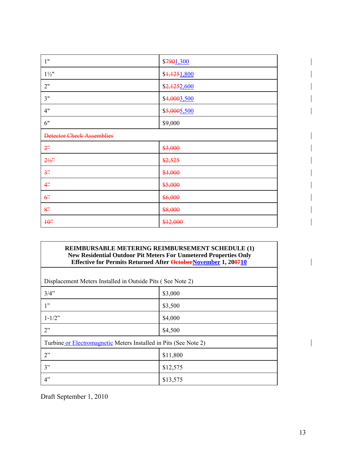| 1"                               | \$7901,300   |
|----------------------------------|--------------|
| $1\frac{1}{2}$ "                 | \$1,1251,800 |
| 2"                               | \$2,1252,600 |
| 3"                               | \$4,0003,500 |
| 4"                               | \$5,0005,500 |
| 6"                               | \$9,000      |
| <b>Detector Check Assemblies</b> |              |
| 2 <sup>2</sup>                   | \$3,000      |
| $2\frac{1}{2}$                   | \$2,525      |
| 3"                               | \$4,000      |
| 4 <sup>2</sup>                   | \$5,000      |
| 6 <sup>2</sup>                   | \$6,000      |
| 8"                               | \$8,000      |
| $40$ "                           | \$12,000     |

| <b>REIMBURSABLE METERING REIMBURSEMENT SCHEDULE (1)</b>                 |
|-------------------------------------------------------------------------|
| <b>New Residential Outdoor Pit Meters For Unmetered Properties Only</b> |
| Effective for Permits Returned After OctoberNovember 1, 200710          |

| Displacement Meters Installed in Outside Pits (See Note 2)       |          |  |  |
|------------------------------------------------------------------|----------|--|--|
| 3/4"                                                             | \$3,000  |  |  |
| 1"                                                               | \$3,500  |  |  |
| $1 - 1/2$ "                                                      | \$4,000  |  |  |
| 2"                                                               | \$4,500  |  |  |
| Turbine or Electromagnetic Meters Installed in Pits (See Note 2) |          |  |  |
| 2"                                                               | \$11,800 |  |  |
| 3"                                                               | \$12,575 |  |  |
| 4"                                                               | \$13,575 |  |  |

Draft September 1, 2010

 $\overline{\phantom{a}}$ 

 $\overline{\phantom{a}}$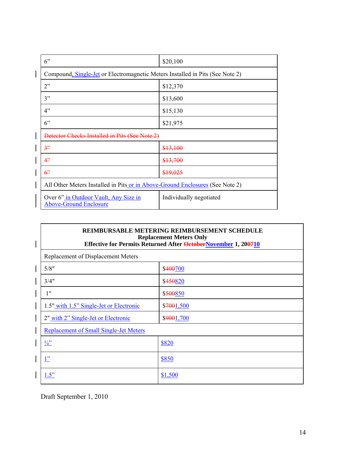| 6"                                                                            | \$20,100                |  |
|-------------------------------------------------------------------------------|-------------------------|--|
| Compound, Single-Jet or Electromagnetic Meters Installed in Pits (See Note 2) |                         |  |
| 2"                                                                            | \$12,370                |  |
| 3"                                                                            | \$13,600                |  |
| 4"                                                                            | \$15,130                |  |
| 6"                                                                            | \$21,975                |  |
| Detector Checks Installed in Pits (See Note 2)                                |                         |  |
| 3 <sup>2</sup>                                                                | \$13,100                |  |
| 4"                                                                            | \$13,700                |  |
| 6 <sup>2</sup>                                                                | \$19,025                |  |
| All Other Meters Installed in Pits or in Above-Ground Enclosures (See Note 2) |                         |  |
| Over 6" in Outdoor Vault, Any Size in<br><b>Above-Ground Enclosure</b>        | Individually negotiated |  |

#### **REIMBURSABLE METERING REIMBURSEMENT SCHEDULE Replacement Meters Only Effective for Permits Returned After OctoberNovember 1, 200710**

| Replacement of Displacement Meters            |              |
|-----------------------------------------------|--------------|
| 5/8"                                          | \$400700     |
| 3/4"                                          | \$450820     |
| 1"                                            | \$500850     |
| 1.5" with 1.5" Single-Jet or Electronic       | \$7001,500   |
| 2" with 2" Single-Jet or Electronic           | \$9001,700   |
| <b>Replacement of Small Single-Jet Meters</b> |              |
| $\frac{3}{4}$                                 | \$820        |
| 1"                                            | <b>\$850</b> |
| 1.5"                                          | \$1,500      |

Draft September 1, 2010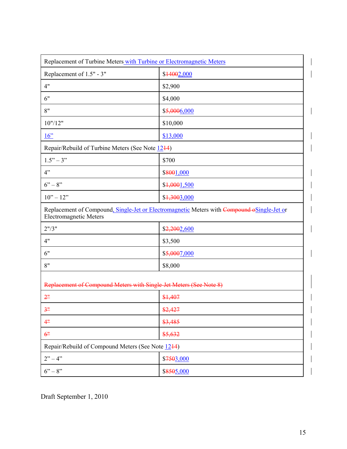|                                                   | Replacement of Turbine Meters with Turbine or Electromagnetic Meters                       |
|---------------------------------------------------|--------------------------------------------------------------------------------------------|
| Replacement of 1.5" - 3"                          | \$44002,000                                                                                |
| 4"                                                | \$2,900                                                                                    |
| 6"                                                | \$4,000                                                                                    |
| 8"                                                | \$5,0006,000                                                                               |
| 10" / 12"                                         | \$10,000                                                                                   |
| $16$ "                                            | \$13,000                                                                                   |
| Repair/Rebuild of Turbine Meters (See Note 1244)  |                                                                                            |
| $1.5" - 3"$                                       | \$700                                                                                      |
| 4"                                                | \$8001,000                                                                                 |
| $6 - 8$ "                                         | \$4,0001,500                                                                               |
| $10" - 12"$                                       | \$1,3003,000                                                                               |
| <b>Electromagnetic Meters</b>                     | Replacement of Compound, Single-Jet or Electromagnetic Meters with Compound oSingle-Jet or |
| 2" / 3"                                           | \$2,2002,600                                                                               |
| 4"                                                | \$3,500                                                                                    |
| 6"                                                | \$5,0007,000                                                                               |
| 8"                                                | \$8,000                                                                                    |
|                                                   | Replacement of Compound Meters with Single-Jet Meters (See Note 8)                         |
| 2"                                                | \$1,407                                                                                    |
| 3"                                                | \$2,427                                                                                    |
| 4"                                                | \$3,485                                                                                    |
| 6"                                                | \$5,632                                                                                    |
| Repair/Rebuild of Compound Meters (See Note 1244) |                                                                                            |
| $2" - 4"$                                         | \$7503,000                                                                                 |
| $6 - 8$ "                                         | \$8505,000                                                                                 |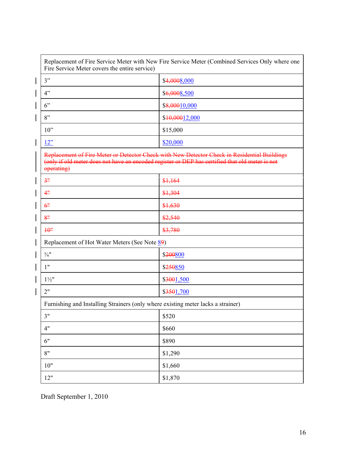| Fire Service Meter covers the entire service) | Replacement of Fire Service Meter with New Fire Service Meter (Combined Services Only where one                                                                                                 |  |  |
|-----------------------------------------------|-------------------------------------------------------------------------------------------------------------------------------------------------------------------------------------------------|--|--|
| 3"                                            | \$4,0008,000                                                                                                                                                                                    |  |  |
| 4"                                            | \$6,0008,500                                                                                                                                                                                    |  |  |
| 6"                                            | \$8,00010,000                                                                                                                                                                                   |  |  |
| 8"                                            | \$10,00012,000                                                                                                                                                                                  |  |  |
| 10"                                           | \$15,000                                                                                                                                                                                        |  |  |
| 12"                                           | \$20,000                                                                                                                                                                                        |  |  |
| operating)                                    | Replacement of Fire Meter or Detector Check with New Detector Check in Residential Buildings<br>(only if old meter does not have an encoded register or DEP has certified that old meter is not |  |  |
| 3 <sup>n</sup>                                | \$1,164                                                                                                                                                                                         |  |  |
| 4"                                            | \$1,304                                                                                                                                                                                         |  |  |
| 6 <sup>n</sup>                                | \$1,630                                                                                                                                                                                         |  |  |
| 8"                                            | \$2,540                                                                                                                                                                                         |  |  |
| $\frac{10}{3}$                                | \$3,780                                                                                                                                                                                         |  |  |
| Replacement of Hot Water Meters (See Note 89) |                                                                                                                                                                                                 |  |  |
| $\frac{3}{4}$ "                               | \$200800                                                                                                                                                                                        |  |  |
| 1"                                            | \$250850                                                                                                                                                                                        |  |  |
| $1\frac{1}{2}$ "                              | \$3001,500                                                                                                                                                                                      |  |  |
| 2"                                            | \$3501,700                                                                                                                                                                                      |  |  |
|                                               | Furnishing and Installing Strainers (only where existing meter lacks a strainer)                                                                                                                |  |  |
| 3"                                            | \$520                                                                                                                                                                                           |  |  |
| 4"                                            | \$660                                                                                                                                                                                           |  |  |
| 6"                                            | \$890                                                                                                                                                                                           |  |  |
| 8"                                            | \$1,290                                                                                                                                                                                         |  |  |
| 10"                                           | \$1,660                                                                                                                                                                                         |  |  |
| 12"                                           | \$1,870                                                                                                                                                                                         |  |  |

Draft September 1, 2010

 $\overline{\phantom{a}}$ 

 $\overline{\phantom{a}}$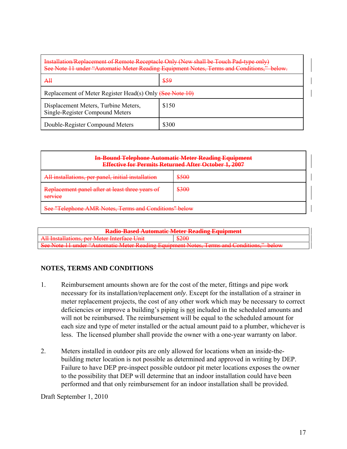| <b>Installation/Replacement of Remote Receptacle Only (New shall be Touch Pad-type only)</b><br>See Note 11 under "Automatic Meter Reading Equipment Notes, Terms and Conditions," below. |       |  |
|-------------------------------------------------------------------------------------------------------------------------------------------------------------------------------------------|-------|--|
| A₩                                                                                                                                                                                        | \$59  |  |
| Replacement of Meter Register Head(s) Only (See Note 10)                                                                                                                                  |       |  |
| Displacement Meters, Turbine Meters,<br>Single-Register Compound Meters                                                                                                                   | \$150 |  |
| Double-Register Compound Meters                                                                                                                                                           | \$300 |  |

|                                                                          | <b>In-Bound Telephone Automatic Meter Reading Equipment</b><br><b>Effective for Permits Returned After October 1, 2007</b> |  |
|--------------------------------------------------------------------------|----------------------------------------------------------------------------------------------------------------------------|--|
| All installations, per panel, initial installation                       | \$500                                                                                                                      |  |
| Replacement panel after at least three years of<br>CATU100<br>$\sqrt{2}$ | \$300                                                                                                                      |  |
| See "Telephone AMR Notes, Terms and Conditions" below                    |                                                                                                                            |  |

| <b>Radio-Based Automatic Meter Reading Equipment</b>                                                                                                                                                                                        |         |  |
|---------------------------------------------------------------------------------------------------------------------------------------------------------------------------------------------------------------------------------------------|---------|--|
| All Installations, per Meter Interface Unit<br><del>An instantions, per weler interace only</del>                                                                                                                                           | ᢒᡔᡔᡃᠣᡃᠣ |  |
| See Note 11 under "Automatic Meter Reading Faugument Notes, Terms and Conditions" below<br><u>bec role of ander traditions</u> include reading Equipment Poles, Femis and Conditions,<br>$\overline{\mathbf{v}}$ or $\overline{\mathbf{v}}$ |         |  |

### **NOTES, TERMS AND CONDITIONS**

- 1. Reimbursement amounts shown are for the cost of the meter, fittings and pipe work necessary for its installation/replacement *only*. Except for the installation of a strainer in meter replacement projects, the cost of any other work which may be necessary to correct deficiencies or improve a building's piping is not included in the scheduled amounts and will not be reimbursed. The reimbursement will be equal to the scheduled amount for each size and type of meter installed or the actual amount paid to a plumber, whichever is less. The licensed plumber shall provide the owner with a one-year warranty on labor.
- 2. Meters installed in outdoor pits are only allowed for locations when an inside-thebuilding meter location is not possible as determined and approved in writing by DEP. Failure to have DEP pre-inspect possible outdoor pit meter locations exposes the owner to the possibility that DEP will determine that an indoor installation could have been performed and that only reimbursement for an indoor installation shall be provided.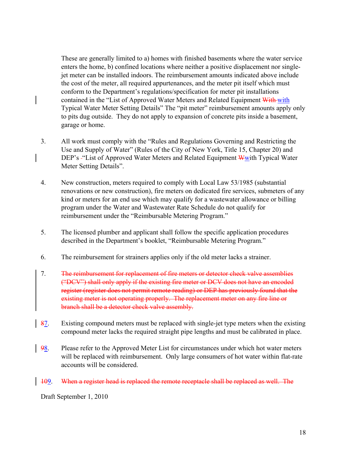These are generally limited to a) homes with finished basements where the water service enters the home, b) confined locations where neither a positive displacement nor singlejet meter can be installed indoors. The reimbursement amounts indicated above include the cost of the meter, all required appurtenances, and the meter pit itself which must conform to the Department's regulations/specification for meter pit installations contained in the "List of Approved Water Meters and Related Equipment With with Typical Water Meter Setting Details" The "pit meter" reimbursement amounts apply only to pits dug outside. They do not apply to expansion of concrete pits inside a basement, garage or home.

- 3. All work must comply with the "Rules and Regulations Governing and Restricting the Use and Supply of Water" (Rules of the City of New York, Title 15, Chapter 20) and DEP's - "List of Approved Water Meters and Related Equipment W with Typical Water Meter Setting Details".
- 4. New construction, meters required to comply with Local Law 53/1985 (substantial renovations or new construction), fire meters on dedicated fire services, submeters of any kind or meters for an end use which may qualify for a wastewater allowance or billing program under the Water and Wastewater Rate Schedule do not qualify for reimbursement under the "Reimbursable Metering Program."
- 5. The licensed plumber and applicant shall follow the specific application procedures described in the Department's booklet, "Reimbursable Metering Program."
- 6. The reimbursement for strainers applies only if the old meter lacks a strainer.
- 7. The reimbursement for replacement of fire meters or detector check valve assemblies ("DCV") shall only apply if the existing fire meter or DCV does not have an encoded register (register does not permit remote reading) or DEP has previously found that the existing meter is not operating properly. The replacement meter on any fire line or branch shall be a detector check valve assembly.
- 87. Existing compound meters must be replaced with single-jet type meters when the existing compound meter lacks the required straight pipe lengths and must be calibrated in place.
- 98. Please refer to the Approved Meter List for circumstances under which hot water meters will be replaced with reimbursement. Only large consumers of hot water within flat-rate accounts will be considered.

#### 109. When a register head is replaced the remote receptacle shall be replaced as well. The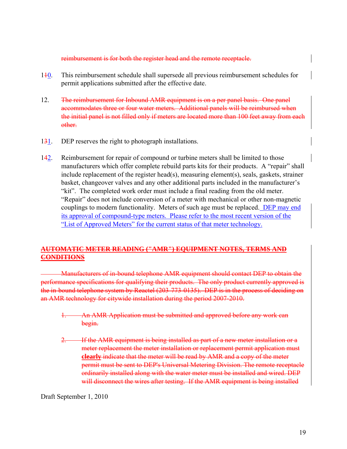reimbursement is for both the register head and the remote receptacle.

- 110. This reimbursement schedule shall supersede all previous reimbursement schedules for permit applications submitted after the effective date.
- 12. The reimbursement for Inbound AMR equipment is on a per panel basis. One panel accommodates three or four water meters. Additional panels will be reimbursed when the initial panel is not filled only if meters are located more than 100 feet away from each other.
- 131. DEP reserves the right to photograph installations.
- 142. Reimbursement for repair of compound or turbine meters shall be limited to those manufacturers which offer complete rebuild parts kits for their products. A "repair" shall include replacement of the register head(s), measuring element(s), seals, gaskets, strainer basket, changeover valves and any other additional parts included in the manufacturer's "kit". The completed work order must include a final reading from the old meter. "Repair" does not include conversion of a meter with mechanical or other non-magnetic couplings to modern functionality. Meters of such age must be replaced. DEP may end its approval of compound-type meters. Please refer to the most recent version of the "List of Approved Meters" for the current status of that meter technology.

#### **AUTOMATIC METER READING ("AMR") EQUIPMENT NOTES, TERMS AND CONDITIONS**

Manufacturers of in-bound telephone AMR equipment should contact DEP to obtain the performance specifications for qualifying their products. The only product currently approved is the in-bound telephone system by Reactel (203-773-0135). DEP is in the process of deciding on an AMR technology for citywide installation during the period 2007-2010.

- 1. An AMR Application must be submitted and approved before any work can begin.
- **2. If the AMR equipment is being installed as part of a new meter installation or a** meter replacement the meter installation or replacement permit application must **clearly** indicate that the meter will be read by AMR and a copy of the meter permit must be sent to DEP's Universal Metering Division. The remote receptacle ordinarily installed along with the water meter must be installed and wired. DEP will disconnect the wires after testing. If the AMR equipment is being installed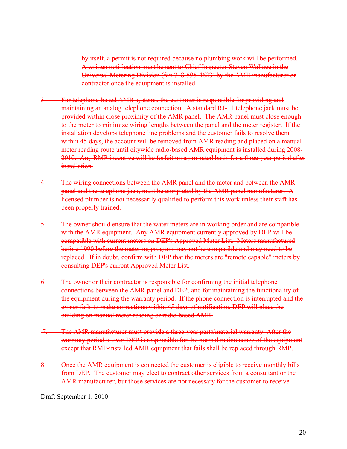by itself, a permit is not required because no plumbing work will be performed. A written notification must be sent to Chief Inspector Steven Wallace in the Universal Metering Division (fax 718-595-4623) by the AMR manufacturer or contractor once the equipment is installed.

- 3. For telephone-based AMR systems, the customer is responsible for providing and maintaining an analog telephone connection. A standard RJ-11 telephone jack must be provided within close proximity of the AMR panel. The AMR panel must close enough to the meter to minimize wiring lengths between the panel and the meter register. If the installation develops telephone line problems and the customer fails to resolve them within 45 days, the account will be removed from AMR reading and placed on a manual meter reading route until citywide radio-based AMR equipment is installed during 2008- 2010. Any RMP incentive will be forfeit on a pro-rated basis for a three-year period after installation.
- The wiring connections between the AMR panel and the meter and between the AMR panel and the telephone jack, must be completed by the AMR panel manufacturer. A licensed plumber is not necessarily qualified to perform this work unless their staff has been properly trained.
- 5. The owner should ensure that the water meters are in working order and are compatible with the AMR equipment. Any AMR equipment currently approved by DEP will be compatible with current meters on DEP's Approved Meter List. Meters manufactured before 1990 before the metering program may not be compatible and may need to be replaced. If in doubt, confirm with DEP that the meters are "remote capable" meters by consulting DEP's current Approved Meter List.
- 6. The owner or their contractor is responsible for confirming the initial telephone connections between the AMR panel and DEP, and for maintaining the functionality of the equipment during the warranty period. If the phone connection is interrupted and the owner fails to make corrections within 45 days of notification, DEP will place the building on manual meter reading or radio-based AMR.
- The AMR manufacturer must provide a three-year parts/material warranty. After the warranty period is over DEP is responsible for the normal maintenance of the equipment except that RMP-installed AMR equipment that fails shall be replaced through RMP.
- Once the AMR equipment is connected the customer is eligible to receive monthly bills from DEP. The customer may elect to contract other services from a consultant or the AMR manufacturer, but those services are not necessary for the customer to receive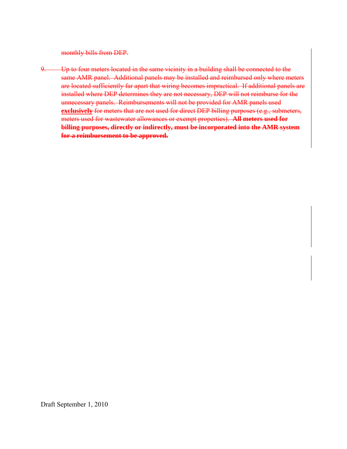monthly bills from DEP.

9. Up to four meters located in the same vicinity in a building shall be connected to the same AMR panel. Additional panels may be installed and reimbursed only where meters are located sufficiently far apart that wiring becomes impractical. If additional panels are installed where DEP determines they are not necessary, DEP will not reimburse for the unnecessary panels. Reimbursements will not be provided for AMR panels used **exclusively** for meters that are not used for direct DEP billing purposes (e.g., submeters, meters used for wastewater allowances or exempt properties). **All meters used for billing purposes, directly or indirectly, must be incorporated into the AMR system for a reimbursement to be approved.**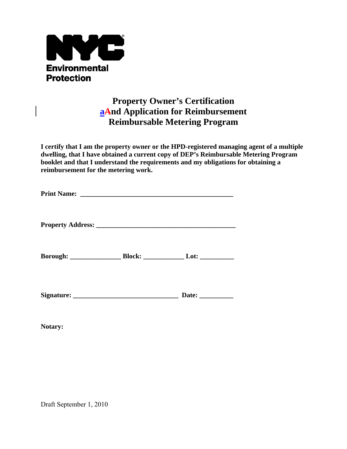

# **Property Owner's Certification aAnd Application for Reimbursement Reimbursable Metering Program**

**I certify that I am the property owner or the HPD-registered managing agent of a multiple dwelling, that I have obtained a current copy of DEP's Reimbursable Metering Program booklet and that I understand the requirements and my obligations for obtaining a reimbursement for the metering work.** 

|  | Date: $\frac{1}{\sqrt{1-\frac{1}{2}}\cdot\frac{1}{\sqrt{1-\frac{1}{2}}}}$ |  |
|--|---------------------------------------------------------------------------|--|

**Notary:**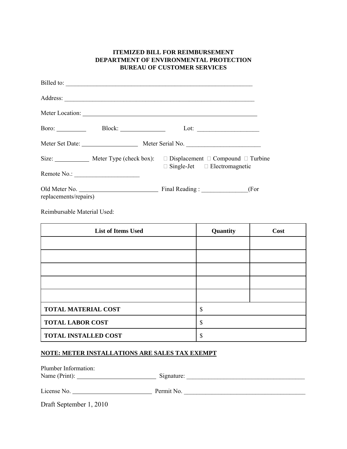| <b>ITEMIZED BILL FOR REIMBURSEMENT</b><br>DEPARTMENT OF ENVIRONMENTAL PROTECTION<br><b>BUREAU OF CUSTOMER SERVICES</b> |                     |                                                                                                                                                       |
|------------------------------------------------------------------------------------------------------------------------|---------------------|-------------------------------------------------------------------------------------------------------------------------------------------------------|
|                                                                                                                        |                     | Billed to:                                                                                                                                            |
|                                                                                                                        |                     |                                                                                                                                                       |
|                                                                                                                        |                     |                                                                                                                                                       |
|                                                                                                                        | Boro: Block: Block: |                                                                                                                                                       |
|                                                                                                                        |                     | Meter Set Date: Meter Serial No.                                                                                                                      |
|                                                                                                                        |                     | Size: _______________ Meter Type (check box): $\square$ Displacement $\square$ Compound $\square$ Turbine<br>$\Box$ Single-Jet $\Box$ Electromagnetic |
|                                                                                                                        |                     |                                                                                                                                                       |
| replacements/repairs)                                                                                                  |                     | (For                                                                                                                                                  |

Reimbursable Material Used:

| <b>List of Items Used</b>   | Quantity | Cost |
|-----------------------------|----------|------|
|                             |          |      |
|                             |          |      |
|                             |          |      |
|                             |          |      |
|                             |          |      |
| <b>TOTAL MATERIAL COST</b>  | ¢<br>۰D. |      |
| <b>TOTAL LABOR COST</b>     | \$       |      |
| <b>TOTAL INSTALLED COST</b> |          |      |

### **NOTE: METER INSTALLATIONS ARE SALES TAX EXEMPT**

| Plumber Information: |            |
|----------------------|------------|
| Name (Print):        | Signature: |

| License No. | Permit No. |
|-------------|------------|
|             |            |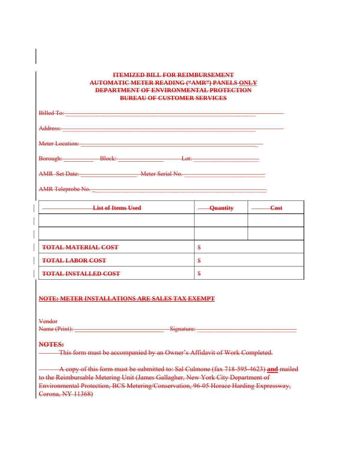#### **ITEMIZED BILL FOR REIMBURSEMENT AUTOMATIC METER READING ("AMR") PANELS ONLY DEPARTMENT OF ENVIRONMENTAL PROTECTION BUREAU OF CUSTOMER SERVICES**

| Billed To:               |        |                       |
|--------------------------|--------|-----------------------|
| Address:                 |        |                       |
| Meter Location:          |        |                       |
| Borough: ___________     | Block: | Let<br><del>LU.</del> |
| <b>AMR</b> Set Date:     |        | Meter Serial No.      |
| <b>AMR Teleprobe No.</b> |        |                       |

| <b>List of Items Used</b>   | Quantity | <b>Cost</b> |
|-----------------------------|----------|-------------|
|                             |          |             |
|                             |          |             |
| <b>TOTAL MATERIAL COST</b>  | Ð        |             |
| <b>TOTAL LABOR COST</b>     | œ<br>ð   |             |
| <b>TOTAL INSTALLED COST</b> | ÷        |             |

#### **NOTE: METER INSTALLATIONS ARE SALES TAX EXEMPT**

Vendor

Name (Print): Signature:

#### **NOTES:**

This form must be accompanied by an Owner's Affidavit of Work Completed.

A copy of this form must be submitted to: Sal Culmone (fax 718-595-4623) **and** mailed to the Reimbursable Metering Unit (James Gallagher, New York City Department of Environmental Protection, BCS Metering/Conservation, 96-05 Horace Harding Expressway, Corona, NY 11368)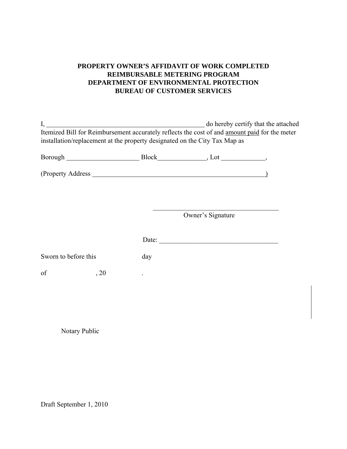### **PROPERTY OWNER'S AFFIDAVIT OF WORK COMPLETED REIMBURSABLE METERING PROGRAM DEPARTMENT OF ENVIRONMENTAL PROTECTION BUREAU OF CUSTOMER SERVICES**

| Itemized Bill for Reimbursement accurately reflects the cost of and amount paid for the meter<br>installation/replacement at the property designated on the City Tax Map as |     |                   |  |
|-----------------------------------------------------------------------------------------------------------------------------------------------------------------------------|-----|-------------------|--|
|                                                                                                                                                                             |     |                   |  |
|                                                                                                                                                                             |     |                   |  |
|                                                                                                                                                                             |     |                   |  |
|                                                                                                                                                                             |     | Owner's Signature |  |
|                                                                                                                                                                             |     |                   |  |
| Sworn to before this                                                                                                                                                        | day |                   |  |
| of<br>, 20                                                                                                                                                                  |     |                   |  |
|                                                                                                                                                                             |     |                   |  |
|                                                                                                                                                                             |     |                   |  |
| Notary Public                                                                                                                                                               |     |                   |  |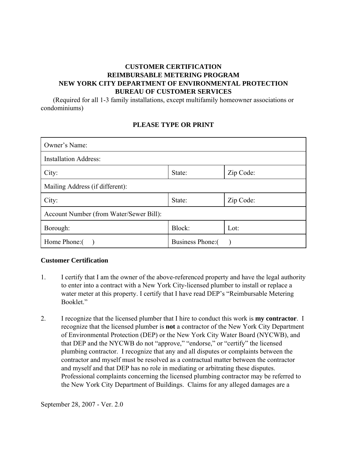### **CUSTOMER CERTIFICATION REIMBURSABLE METERING PROGRAM NEW YORK CITY DEPARTMENT OF ENVIRONMENTAL PROTECTION BUREAU OF CUSTOMER SERVICES**

 (Required for all 1-3 family installations, except multifamily homeowner associations or condominiums)

#### **PLEASE TYPE OR PRINT**

| Owner's Name:                             |        |           |
|-------------------------------------------|--------|-----------|
| <b>Installation Address:</b>              |        |           |
| City:                                     | State: | Zip Code: |
| Mailing Address (if different):           |        |           |
| City:                                     | State: | Zip Code: |
| Account Number (from Water/Sewer Bill):   |        |           |
| Block:<br>Lot:<br>Borough:                |        |           |
| Home Phone: (<br><b>Business Phone:</b> ( |        |           |

#### **Customer Certification**

- 1. I certify that I am the owner of the above-referenced property and have the legal authority to enter into a contract with a New York City-licensed plumber to install or replace a water meter at this property. I certify that I have read DEP's "Reimbursable Metering Booklet."
- 2. I recognize that the licensed plumber that I hire to conduct this work is **my contractor**. I recognize that the licensed plumber is **not** a contractor of the New York City Department of Environmental Protection (DEP) or the New York City Water Board (NYCWB), and that DEP and the NYCWB do not "approve," "endorse," or "certify" the licensed plumbing contractor. I recognize that any and all disputes or complaints between the contractor and myself must be resolved as a contractual matter between the contractor and myself and that DEP has no role in mediating or arbitrating these disputes. Professional complaints concerning the licensed plumbing contractor may be referred to the New York City Department of Buildings. Claims for any alleged damages are a

September 28, 2007 - Ver. 2.0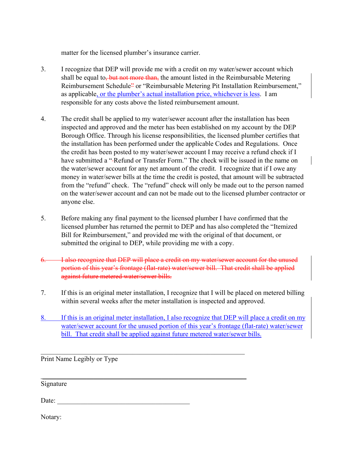matter for the licensed plumber's insurance carrier.

- 3. I recognize that DEP will provide me with a credit on my water/sewer account which shall be equal to, but not more than, the amount listed in the Reimbursable Metering Reimbursement Schedule<sup>2</sup> or "Reimbursable Metering Pit Installation Reimbursement," as applicable, or the plumber's actual installation price, whichever is less. I am responsible for any costs above the listed reimbursement amount.
- 4. The credit shall be applied to my water/sewer account after the installation has been inspected and approved and the meter has been established on my account by the DEP Borough Office. Through his license responsibilities, the licensed plumber certifies that the installation has been performed under the applicable Codes and Regulations. Once the credit has been posted to my water/sewer account I may receive a refund check if I have submitted a "-Refund or Transfer Form." The check will be issued in the name on the water/sewer account for any net amount of the credit. I recognize that if I owe any money in water/sewer bills at the time the credit is posted, that amount will be subtracted from the "refund" check. The "refund" check will only be made out to the person named on the water/sewer account and can not be made out to the licensed plumber contractor or anyone else.
- 5. Before making any final payment to the licensed plumber I have confirmed that the licensed plumber has returned the permit to DEP and has also completed the "Itemized Bill for Reimbursement," and provided me with the original of that document, or submitted the original to DEP, while providing me with a copy.
- 6. I also recognize that DEP will place a credit on my water/sewer account for the unused portion of this year's frontage (flat-rate) water/sewer bill. That credit shall be applied against future metered water/sewer bills.
- 7. If this is an original meter installation, I recognize that I will be placed on metered billing within several weeks after the meter installation is inspected and approved.
- 8. If this is an original meter installation, I also recognize that DEP will place a credit on my water/sewer account for the unused portion of this year's frontage (flat-rate) water/sewer bill. That credit shall be applied against future metered water/sewer bills.

 $\mathcal{L}_\text{max}$  , and the contribution of the contribution of the contribution of the contribution of the contribution of the contribution of the contribution of the contribution of the contribution of the contribution of t

\_\_\_\_\_\_\_\_\_\_\_\_\_\_\_\_\_\_\_\_\_\_\_\_\_\_\_\_\_\_\_\_\_\_\_\_\_\_\_\_\_\_\_\_\_\_\_\_\_\_\_\_\_\_\_\_\_\_\_\_

Print Name Legibly or Type

Signature

Date:  $\Box$ 

Notary: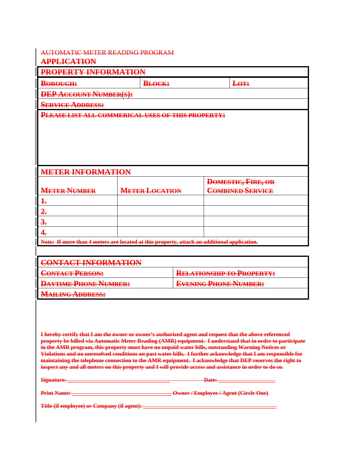# AUTOMATIC METER READING PROGRAM

### **APPLICATION**

| <b>PROPERTY INFORMATION</b>                                                                 |                       |                           |  |  |
|---------------------------------------------------------------------------------------------|-----------------------|---------------------------|--|--|
| <b>BOROUGH:</b>                                                                             | <b>BLOCK:</b>         | Lo <sub>T</sub> :         |  |  |
| <b>DEP ACCOUNT NUMBER(S):</b>                                                               |                       |                           |  |  |
| <b>SERVICE ADDRESS:</b>                                                                     |                       |                           |  |  |
| PLEASE LIST ALL COMMERICAL USES OF THIS PROPERTY:                                           |                       |                           |  |  |
|                                                                                             |                       |                           |  |  |
| <b>METER INFORMATION</b>                                                                    |                       |                           |  |  |
|                                                                                             |                       | <b>DOMESTIC, FIRE, OR</b> |  |  |
| <b>METER NUMBER</b>                                                                         | <b>METER LOCATION</b> | <b>COMBINED SERVICE</b>   |  |  |
| $\ddagger$                                                                                  |                       |                           |  |  |
| 2.                                                                                          |                       |                           |  |  |
| 3 <sub>1</sub>                                                                              |                       |                           |  |  |
| 4.                                                                                          |                       |                           |  |  |
| Note: If more than 4 meters are located at this property, attach an additional application. |                       |                           |  |  |

| <b>CONTACT INFORMATION</b>   |                                  |
|------------------------------|----------------------------------|
| <b>CONTACT PERSON:</b>       | <b>RELATIONSHIP TO PROPERTY:</b> |
| <b>DAYTIME PHONE NUMBER:</b> | <b>EVENING PHONE NUMBER:</b>     |
| <b>MAILING ADDRESS:</b>      |                                  |

**I hereby certify that I am the owner or owner's authorized agent and request that the above referenced property be billed via Automatic Meter Reading (AMR) equipment. I understand that in order to participate in the AMR program, this property must have no unpaid water bills, outstanding Warning Notices or Violations and no unresolved conditions on past water bills. I further acknowledge that I am responsible for maintaining the telephone connection to the AMR equipment. I acknowledge that DEP reserves the right to inspect any and all meters on this property and I will provide access and assistance in order to do so.**

**Signature: \_\_\_\_\_\_\_\_\_\_\_\_\_\_\_\_\_\_\_\_\_\_\_\_\_\_\_\_\_\_\_\_\_\_\_\_ Date: \_\_\_\_\_\_\_\_\_\_\_\_\_\_\_\_\_\_\_\_ Print Name: \_\_\_\_\_\_\_\_\_\_\_\_\_\_\_\_\_\_\_\_\_\_\_\_\_\_\_\_\_\_\_\_\_\_\_ Owner / Employee / Agent (Circle One) Title (if employee) or Company (if agent): \_\_**